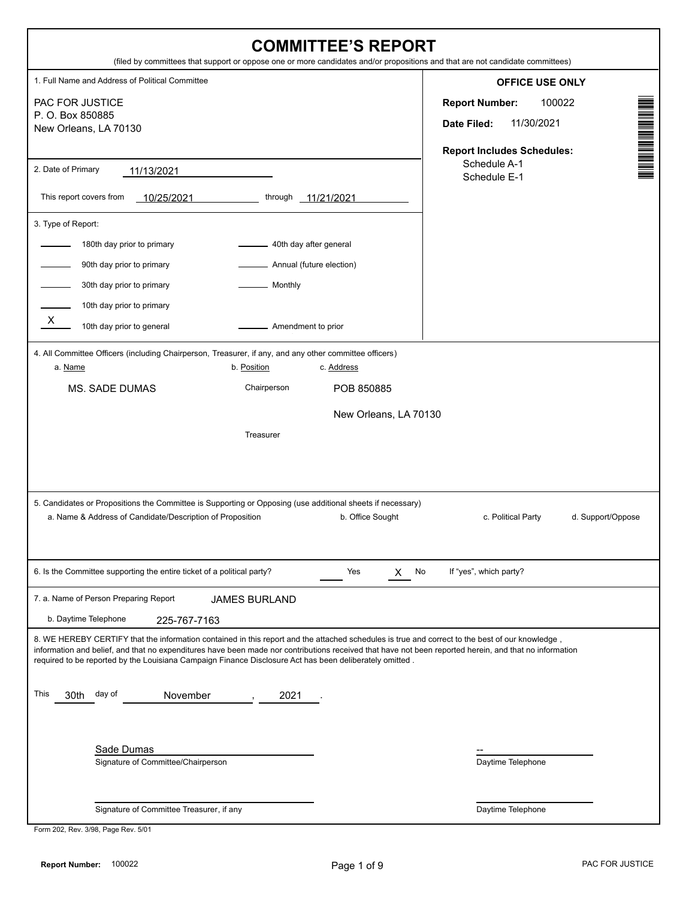| <b>COMMITTEE'S REPORT</b><br>(filed by committees that support or oppose one or more candidates and/or propositions and that are not candidate committees)                                                                                                                                                                                                                                                           |                                                                                                   |
|----------------------------------------------------------------------------------------------------------------------------------------------------------------------------------------------------------------------------------------------------------------------------------------------------------------------------------------------------------------------------------------------------------------------|---------------------------------------------------------------------------------------------------|
| 1. Full Name and Address of Political Committee                                                                                                                                                                                                                                                                                                                                                                      | <b>OFFICE USE ONLY</b>                                                                            |
| PAC FOR JUSTICE<br>P. O. Box 850885<br>New Orleans, LA 70130                                                                                                                                                                                                                                                                                                                                                         | <b>Report Number:</b><br>100022<br>11/30/2021<br>Date Filed:<br><b>Report Includes Schedules:</b> |
| 2. Date of Primary<br>11/13/2021<br>This report covers from<br>$-10/25/2021$<br>through<br>11/21/2021                                                                                                                                                                                                                                                                                                                | Schedule A-1<br>Schedule E-1                                                                      |
| 3. Type of Report:<br>180th day prior to primary<br>40th day after general<br>90th day prior to primary<br>Annual (future election)<br>30th day prior to primary<br>Monthly<br>10th day prior to primary<br>$\mathsf{x}$<br>10th day prior to general<br>Amendment to prior                                                                                                                                          |                                                                                                   |
| 4. All Committee Officers (including Chairperson, Treasurer, if any, and any other committee officers)<br>b. Position<br>a. Name<br>c. Address<br>Chairperson<br><b>MS. SADE DUMAS</b><br>POB 850885                                                                                                                                                                                                                 |                                                                                                   |
| New Orleans, LA 70130                                                                                                                                                                                                                                                                                                                                                                                                |                                                                                                   |
| Treasurer<br>5. Candidates or Propositions the Committee is Supporting or Opposing (use additional sheets if necessary)<br>a. Name & Address of Candidate/Description of Proposition<br>b. Office Sought                                                                                                                                                                                                             | d. Support/Oppose<br>c. Political Party                                                           |
|                                                                                                                                                                                                                                                                                                                                                                                                                      |                                                                                                   |
| 6. Is the Committee supporting the entire ticket of a political party?<br>Yes<br>No<br>X.                                                                                                                                                                                                                                                                                                                            | If "yes", which party?                                                                            |
| 7. a. Name of Person Preparing Report<br><b>JAMES BURLAND</b><br>b. Daytime Telephone<br>225-767-7163                                                                                                                                                                                                                                                                                                                |                                                                                                   |
| 8. WE HEREBY CERTIFY that the information contained in this report and the attached schedules is true and correct to the best of our knowledge,<br>information and belief, and that no expenditures have been made nor contributions received that have not been reported herein, and that no information<br>required to be reported by the Louisiana Campaign Finance Disclosure Act has been deliberately omitted. |                                                                                                   |
| This<br>30th day of<br>November<br>2021                                                                                                                                                                                                                                                                                                                                                                              |                                                                                                   |
| Sade Dumas<br>Signature of Committee/Chairperson                                                                                                                                                                                                                                                                                                                                                                     | Daytime Telephone                                                                                 |
| Signature of Committee Treasurer, if any<br>Form 202, Rev. 3/98, Page Rev. 5/01                                                                                                                                                                                                                                                                                                                                      | Daytime Telephone                                                                                 |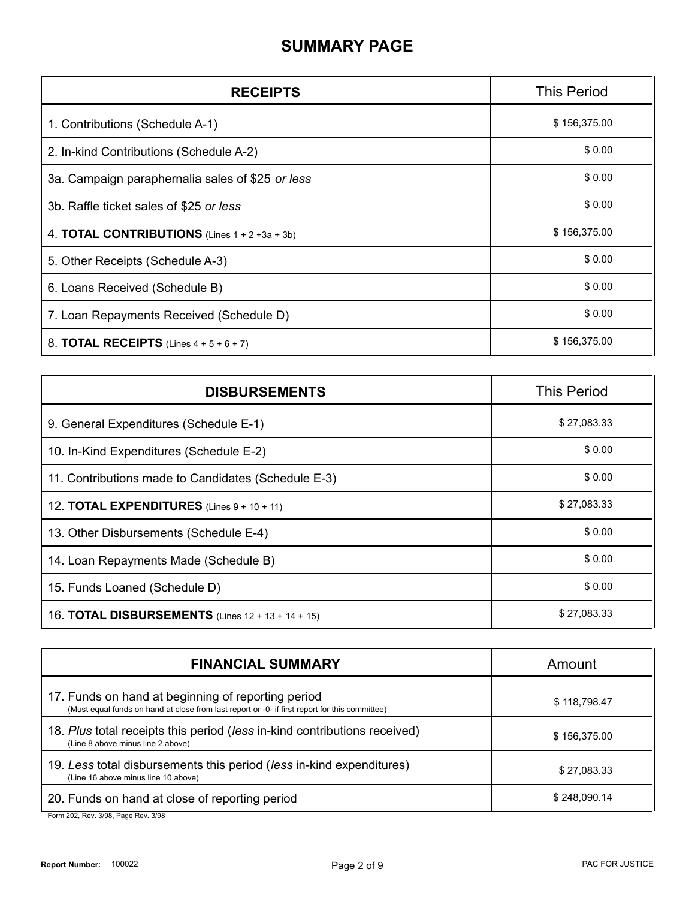#### **SUMMARY PAGE**

| <b>RECEIPTS</b>                                          | <b>This Period</b> |
|----------------------------------------------------------|--------------------|
| 1. Contributions (Schedule A-1)                          | \$156,375.00       |
| 2. In-kind Contributions (Schedule A-2)                  | \$0.00             |
| 3a. Campaign paraphernalia sales of \$25 or less         | \$0.00             |
| 3b. Raffle ticket sales of \$25 or less                  | \$0.00             |
| 4. <b>TOTAL CONTRIBUTIONS</b> (Lines $1 + 2 + 3a + 3b$ ) | \$156,375.00       |
| 5. Other Receipts (Schedule A-3)                         | \$0.00             |
| 6. Loans Received (Schedule B)                           | \$0.00             |
| 7. Loan Repayments Received (Schedule D)                 | \$0.00             |
| 8. <b>TOTAL RECEIPTS</b> (Lines $4 + 5 + 6 + 7$ )        | \$156,375.00       |

| <b>DISBURSEMENTS</b>                                     | <b>This Period</b> |
|----------------------------------------------------------|--------------------|
| 9. General Expenditures (Schedule E-1)                   | \$27,083.33        |
| 10. In-Kind Expenditures (Schedule E-2)                  | \$0.00             |
| 11. Contributions made to Candidates (Schedule E-3)      | \$0.00             |
| 12. <b>TOTAL EXPENDITURES</b> (Lines $9 + 10 + 11$ )     | \$27,083.33        |
| 13. Other Disbursements (Schedule E-4)                   | \$0.00             |
| 14. Loan Repayments Made (Schedule B)                    | \$0.00             |
| 15. Funds Loaned (Schedule D)                            | \$0.00             |
| 16. <b>TOTAL DISBURSEMENTS</b> (Lines 12 + 13 + 14 + 15) | \$27,083.33        |

| <b>FINANCIAL SUMMARY</b>                                                                                                                             | Amount       |
|------------------------------------------------------------------------------------------------------------------------------------------------------|--------------|
| 17. Funds on hand at beginning of reporting period<br>(Must equal funds on hand at close from last report or -0- if first report for this committee) | \$118,798.47 |
| 18. Plus total receipts this period (less in-kind contributions received)<br>(Line 8 above minus line 2 above)                                       | \$156,375.00 |
| 19. Less total disbursements this period (less in-kind expenditures)<br>(Line 16 above minus line 10 above)                                          | \$27,083.33  |
| 20. Funds on hand at close of reporting period<br>$Larm$ 202 $Dav$ 2/08 $Dcan$ $Dav$ 2/08                                                            | \$248,090.14 |

Form 202, Rev. 3/98, Page Rev. 3/98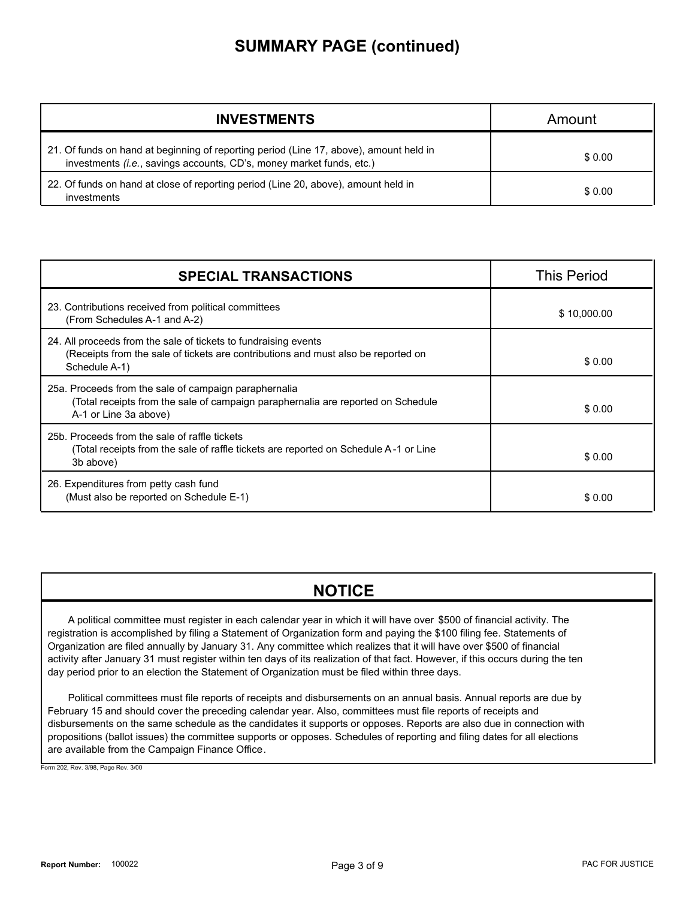#### **SUMMARY PAGE (continued)**

| <b>INVESTMENTS</b>                                                                                                                                             | Amount |
|----------------------------------------------------------------------------------------------------------------------------------------------------------------|--------|
| 21. Of funds on hand at beginning of reporting period (Line 17, above), amount held in<br>investments (i.e., savings accounts, CD's, money market funds, etc.) | \$0.00 |
| 22. Of funds on hand at close of reporting period (Line 20, above), amount held in<br>investments                                                              | \$0.00 |

| <b>SPECIAL TRANSACTIONS</b>                                                                                                                                           | <b>This Period</b> |
|-----------------------------------------------------------------------------------------------------------------------------------------------------------------------|--------------------|
| 23. Contributions received from political committees<br>(From Schedules A-1 and A-2)                                                                                  | \$10,000.00        |
| 24. All proceeds from the sale of tickets to fundraising events<br>(Receipts from the sale of tickets are contributions and must also be reported on<br>Schedule A-1) | \$0.00             |
| 25a. Proceeds from the sale of campaign paraphernalia<br>(Total receipts from the sale of campaign paraphernalia are reported on Schedule<br>A-1 or Line 3a above)    | \$0.00             |
| 25b. Proceeds from the sale of raffle tickets<br>(Total receipts from the sale of raffle tickets are reported on Schedule A-1 or Line<br>3b above)                    | \$0.00             |
| 26. Expenditures from petty cash fund<br>(Must also be reported on Schedule E-1)                                                                                      | \$0.00             |

#### **NOTICE**

A political committee must register in each calendar year in which it will have over \$500 of financial activity. The registration is accomplished by filing a Statement of Organization form and paying the \$100 filing fee. Statements of Organization are filed annually by January 31. Any committee which realizes that it will have over \$500 of financial activity after January 31 must register within ten days of its realization of that fact. However, if this occurs during the ten day period prior to an election the Statement of Organization must be filed within three days.

Political committees must file reports of receipts and disbursements on an annual basis. Annual reports are due by February 15 and should cover the preceding calendar year. Also, committees must file reports of receipts and disbursements on the same schedule as the candidates it supports or opposes. Reports are also due in connection with propositions (ballot issues) the committee supports or opposes. Schedules of reporting and filing dates for all elections are available from the Campaign Finance Office.

Form 202, Rev. 3/98, Page Rev. 3/00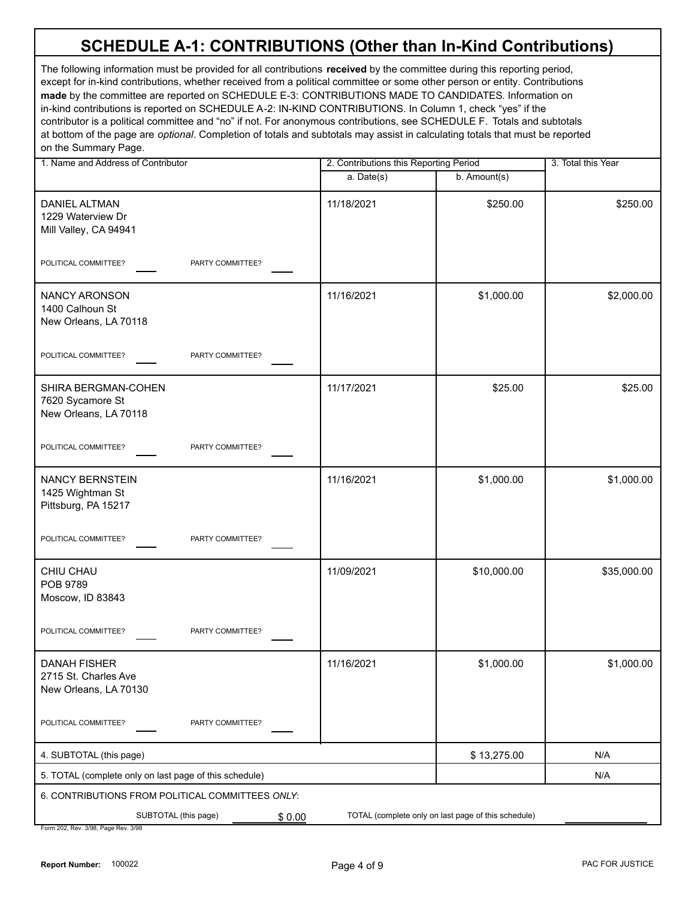| 1. Name and Address of Contributor                                    | 2. Contributions this Reporting Period |                                                     | 3. Total this Year |
|-----------------------------------------------------------------------|----------------------------------------|-----------------------------------------------------|--------------------|
|                                                                       | a. Date(s)                             | b. Amount(s)                                        |                    |
| <b>DANIEL ALTMAN</b><br>1229 Waterview Dr<br>Mill Valley, CA 94941    | 11/18/2021                             | \$250.00                                            | \$250.00           |
| POLITICAL COMMITTEE?<br>PARTY COMMITTEE?                              |                                        |                                                     |                    |
| <b>NANCY ARONSON</b><br>1400 Calhoun St<br>New Orleans, LA 70118      | 11/16/2021                             | \$1,000.00                                          | \$2,000.00         |
| POLITICAL COMMITTEE?<br>PARTY COMMITTEE?                              |                                        |                                                     |                    |
| SHIRA BERGMAN-COHEN<br>7620 Sycamore St<br>New Orleans, LA 70118      | 11/17/2021                             | \$25.00                                             | \$25.00            |
| POLITICAL COMMITTEE?<br>PARTY COMMITTEE?                              |                                        |                                                     |                    |
| NANCY BERNSTEIN<br>1425 Wightman St<br>Pittsburg, PA 15217            | 11/16/2021                             | \$1,000.00                                          | \$1,000.00         |
| POLITICAL COMMITTEE?<br>PARTY COMMITTEE?                              |                                        |                                                     |                    |
| CHIU CHAU<br>POB 9789<br>Moscow, ID 83843                             | 11/09/2021                             | \$10,000.00                                         | \$35,000.00        |
| POLITICAL COMMITTEE?<br>PARTY COMMITTEE?                              |                                        |                                                     |                    |
| DANAH FISHER<br>2715 St. Charles Ave<br>New Orleans, LA 70130         | 11/16/2021                             | \$1,000.00                                          | \$1,000.00         |
| POLITICAL COMMITTEE?<br>PARTY COMMITTEE?                              |                                        |                                                     |                    |
| 4. SUBTOTAL (this page)                                               |                                        | \$13,275.00                                         | N/A                |
| 5. TOTAL (complete only on last page of this schedule)                |                                        |                                                     | N/A                |
| 6. CONTRIBUTIONS FROM POLITICAL COMMITTEES ONLY:                      |                                        |                                                     |                    |
| SUBTOTAL (this page)<br>\$0.00<br>Form 202, Rev. 3/98, Page Rev. 3/98 |                                        | TOTAL (complete only on last page of this schedule) |                    |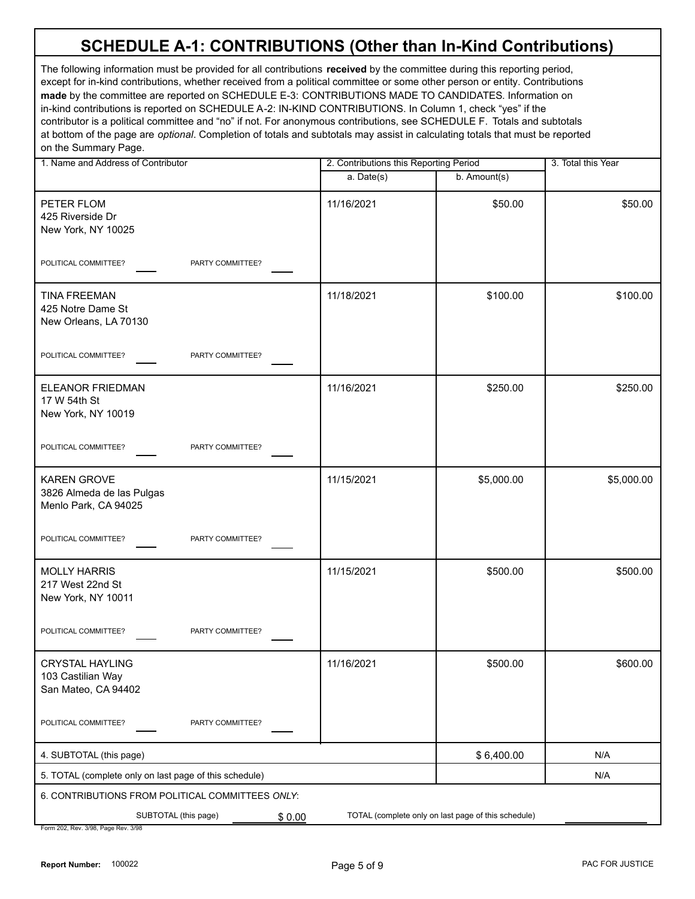| 1. Name and Address of Contributor                                      | 2. Contributions this Reporting Period |                                                     | 3. Total this Year |
|-------------------------------------------------------------------------|----------------------------------------|-----------------------------------------------------|--------------------|
|                                                                         | a. Date(s)                             | b. Amount(s)                                        |                    |
| PETER FLOM<br>425 Riverside Dr<br>New York, NY 10025                    | 11/16/2021                             | \$50.00                                             | \$50.00            |
| POLITICAL COMMITTEE?<br>PARTY COMMITTEE?                                |                                        |                                                     |                    |
| <b>TINA FREEMAN</b><br>425 Notre Dame St<br>New Orleans, LA 70130       | 11/18/2021                             | \$100.00                                            | \$100.00           |
| POLITICAL COMMITTEE?<br>PARTY COMMITTEE?                                |                                        |                                                     |                    |
| ELEANOR FRIEDMAN<br>17 W 54th St<br>New York, NY 10019                  | 11/16/2021                             | \$250.00                                            | \$250.00           |
| POLITICAL COMMITTEE?<br>PARTY COMMITTEE?                                |                                        |                                                     |                    |
| <b>KAREN GROVE</b><br>3826 Almeda de las Pulgas<br>Menlo Park, CA 94025 | 11/15/2021                             | \$5,000.00                                          | \$5,000.00         |
| POLITICAL COMMITTEE?<br>PARTY COMMITTEE?                                |                                        |                                                     |                    |
| <b>MOLLY HARRIS</b><br>217 West 22nd St<br>New York, NY 10011           | 11/15/2021                             | \$500.00                                            | \$500.00           |
| POLITICAL COMMITTEE?<br>PARTY COMMITTEE?                                |                                        |                                                     |                    |
| CRYSTAL HAYLING<br>103 Castilian Way<br>San Mateo, CA 94402             | 11/16/2021                             | \$500.00                                            | \$600.00           |
| POLITICAL COMMITTEE?<br>PARTY COMMITTEE?                                |                                        |                                                     |                    |
| 4. SUBTOTAL (this page)                                                 |                                        | \$6,400.00                                          | N/A                |
| 5. TOTAL (complete only on last page of this schedule)                  |                                        |                                                     | N/A                |
| 6. CONTRIBUTIONS FROM POLITICAL COMMITTEES ONLY:                        |                                        |                                                     |                    |
| SUBTOTAL (this page)<br>\$0.00                                          |                                        | TOTAL (complete only on last page of this schedule) |                    |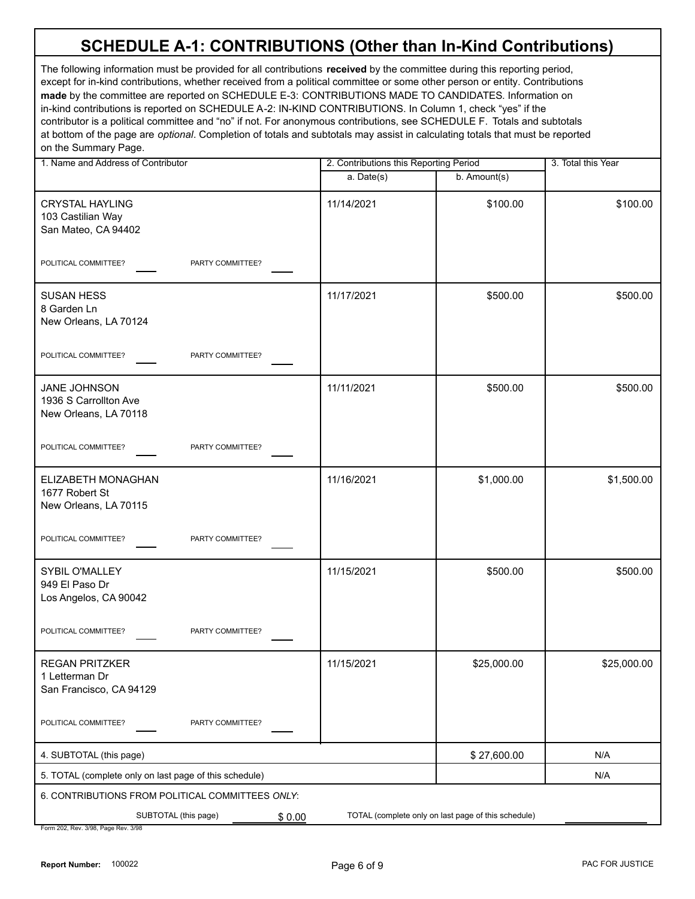| 1. Name and Address of Contributor                                    | 2. Contributions this Reporting Period |                                                     | 3. Total this Year |
|-----------------------------------------------------------------------|----------------------------------------|-----------------------------------------------------|--------------------|
|                                                                       | $a.$ Date(s)                           | b. Amount(s)                                        |                    |
| <b>CRYSTAL HAYLING</b><br>103 Castilian Way<br>San Mateo, CA 94402    | 11/14/2021                             | \$100.00                                            | \$100.00           |
| POLITICAL COMMITTEE?<br>PARTY COMMITTEE?                              |                                        |                                                     |                    |
| <b>SUSAN HESS</b><br>8 Garden Ln<br>New Orleans, LA 70124             | 11/17/2021                             | \$500.00                                            | \$500.00           |
| POLITICAL COMMITTEE?<br>PARTY COMMITTEE?                              |                                        |                                                     |                    |
| <b>JANE JOHNSON</b><br>1936 S Carrollton Ave<br>New Orleans, LA 70118 | 11/11/2021                             | \$500.00                                            | \$500.00           |
| POLITICAL COMMITTEE?<br>PARTY COMMITTEE?                              |                                        |                                                     |                    |
| ELIZABETH MONAGHAN<br>1677 Robert St<br>New Orleans, LA 70115         | 11/16/2021                             | \$1,000.00                                          | \$1,500.00         |
| POLITICAL COMMITTEE?<br>PARTY COMMITTEE?                              |                                        |                                                     |                    |
| SYBIL O'MALLEY<br>949 El Paso Dr<br>Los Angelos, CA 90042             | 11/15/2021                             | \$500.00                                            | \$500.00           |
| POLITICAL COMMITTEE?<br>PARTY COMMITTEE?                              |                                        |                                                     |                    |
| <b>REGAN PRITZKER</b><br>1 Letterman Dr<br>San Francisco, CA 94129    | 11/15/2021                             | \$25,000.00                                         | \$25,000.00        |
| POLITICAL COMMITTEE?<br>PARTY COMMITTEE?                              |                                        |                                                     |                    |
| 4. SUBTOTAL (this page)                                               |                                        | \$27,600.00                                         | N/A                |
| 5. TOTAL (complete only on last page of this schedule)                |                                        |                                                     | N/A                |
| 6. CONTRIBUTIONS FROM POLITICAL COMMITTEES ONLY:                      |                                        |                                                     |                    |
| SUBTOTAL (this page)<br>\$0.00<br>Form 202, Rev. 3/98, Page Rev. 3/98 |                                        | TOTAL (complete only on last page of this schedule) |                    |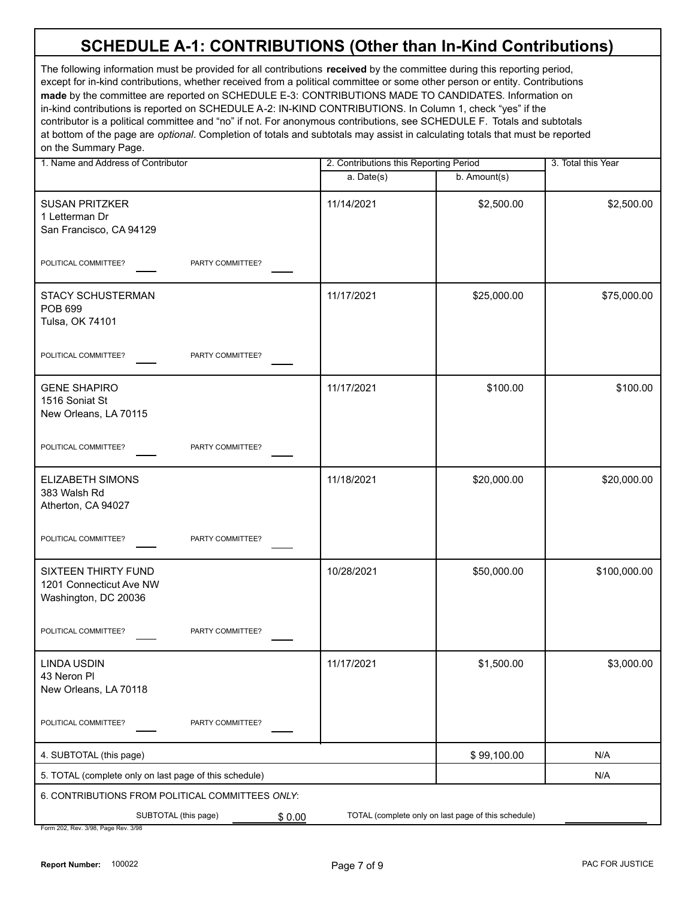| 1. Name and Address of Contributor                                     |            | 2. Contributions this Reporting Period              |              |
|------------------------------------------------------------------------|------------|-----------------------------------------------------|--------------|
|                                                                        | a. Date(s) | b. Amount(s)                                        |              |
| <b>SUSAN PRITZKER</b><br>1 Letterman Dr<br>San Francisco, CA 94129     | 11/14/2021 | \$2,500.00                                          | \$2,500.00   |
| POLITICAL COMMITTEE?<br>PARTY COMMITTEE?                               |            |                                                     |              |
| <b>STACY SCHUSTERMAN</b><br><b>POB 699</b><br>Tulsa, OK 74101          | 11/17/2021 | \$25,000.00                                         | \$75,000.00  |
| POLITICAL COMMITTEE?<br>PARTY COMMITTEE?                               |            |                                                     |              |
| <b>GENE SHAPIRO</b><br>1516 Soniat St<br>New Orleans, LA 70115         | 11/17/2021 | \$100.00                                            | \$100.00     |
| POLITICAL COMMITTEE?<br>PARTY COMMITTEE?                               |            |                                                     |              |
| ELIZABETH SIMONS<br>383 Walsh Rd<br>Atherton, CA 94027                 | 11/18/2021 | \$20,000.00                                         | \$20,000.00  |
| POLITICAL COMMITTEE?<br>PARTY COMMITTEE?                               |            |                                                     |              |
| SIXTEEN THIRTY FUND<br>1201 Connecticut Ave NW<br>Washington, DC 20036 | 10/28/2021 | \$50,000.00                                         | \$100,000.00 |
| POLITICAL COMMITTEE?<br>PARTY COMMITTEE?                               |            |                                                     |              |
| <b>LINDA USDIN</b><br>43 Neron PI<br>New Orleans, LA 70118             | 11/17/2021 | \$1,500.00                                          | \$3,000.00   |
| POLITICAL COMMITTEE?<br>PARTY COMMITTEE?                               |            |                                                     |              |
| 4. SUBTOTAL (this page)                                                |            | \$99,100.00                                         | N/A          |
| 5. TOTAL (complete only on last page of this schedule)                 |            |                                                     | N/A          |
| 6. CONTRIBUTIONS FROM POLITICAL COMMITTEES ONLY:                       |            |                                                     |              |
| SUBTOTAL (this page)                                                   | \$0.00     | TOTAL (complete only on last page of this schedule) |              |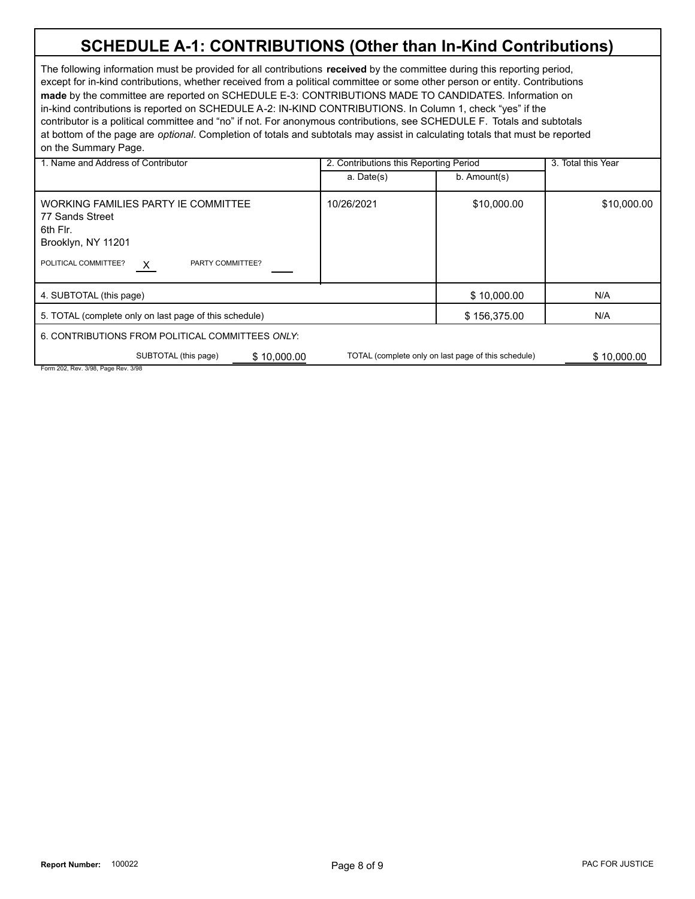| 1. Name and Address of Contributor                                                                                                        | 2. Contributions this Reporting Period |                                                     | 3. Total this Year |
|-------------------------------------------------------------------------------------------------------------------------------------------|----------------------------------------|-----------------------------------------------------|--------------------|
|                                                                                                                                           | a. Date(s)                             | $b.$ Amount(s)                                      |                    |
| WORKING FAMILIES PARTY IE COMMITTEE<br>77 Sands Street<br>6th Flr.<br>Brooklyn, NY 11201<br>POLITICAL COMMITTEE?<br>PARTY COMMITTEE?<br>X | 10/26/2021                             | \$10,000.00                                         | \$10,000.00        |
| 4. SUBTOTAL (this page)                                                                                                                   |                                        | \$10,000.00                                         | N/A                |
| 5. TOTAL (complete only on last page of this schedule)                                                                                    |                                        | \$156,375.00                                        | N/A                |
| 6. CONTRIBUTIONS FROM POLITICAL COMMITTEES ONLY:                                                                                          |                                        |                                                     |                    |
| SUBTOTAL (this page)<br>\$10,000.00                                                                                                       |                                        | TOTAL (complete only on last page of this schedule) | \$10.000.00        |
| Form 202, Rev. 3/98, Page Rev. 3/98                                                                                                       |                                        |                                                     |                    |